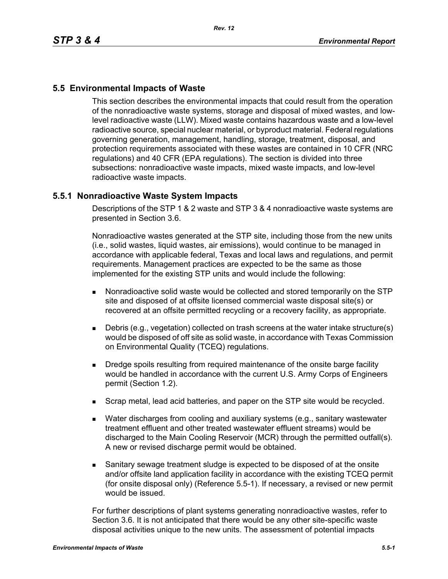## **5.5 Environmental Impacts of Waste**

This section describes the environmental impacts that could result from the operation of the nonradioactive waste systems, storage and disposal of mixed wastes, and lowlevel radioactive waste (LLW). Mixed waste contains hazardous waste and a low-level radioactive source, special nuclear material, or byproduct material. Federal regulations governing generation, management, handling, storage, treatment, disposal, and protection requirements associated with these wastes are contained in 10 CFR (NRC regulations) and 40 CFR (EPA regulations). The section is divided into three subsections: nonradioactive waste impacts, mixed waste impacts, and low-level radioactive waste impacts.

## **5.5.1 Nonradioactive Waste System Impacts**

Descriptions of the STP 1 & 2 waste and STP 3 & 4 nonradioactive waste systems are presented in Section 3.6.

Nonradioactive wastes generated at the STP site, including those from the new units (i.e., solid wastes, liquid wastes, air emissions), would continue to be managed in accordance with applicable federal, Texas and local laws and regulations, and permit requirements. Management practices are expected to be the same as those implemented for the existing STP units and would include the following:

- Nonradioactive solid waste would be collected and stored temporarily on the STP site and disposed of at offsite licensed commercial waste disposal site(s) or recovered at an offsite permitted recycling or a recovery facility, as appropriate.
- Debris (e.g., vegetation) collected on trash screens at the water intake structure(s) would be disposed of off site as solid waste, in accordance with Texas Commission on Environmental Quality (TCEQ) regulations.
- **Dredge spoils resulting from required maintenance of the onsite barge facility** would be handled in accordance with the current U.S. Army Corps of Engineers permit (Section 1.2).
- **Scrap metal, lead acid batteries, and paper on the STP site would be recycled.**
- Water discharges from cooling and auxiliary systems (e.g., sanitary wastewater treatment effluent and other treated wastewater effluent streams) would be discharged to the Main Cooling Reservoir (MCR) through the permitted outfall(s). A new or revised discharge permit would be obtained.
- Sanitary sewage treatment sludge is expected to be disposed of at the onsite and/or offsite land application facility in accordance with the existing TCEQ permit (for onsite disposal only) (Reference 5.5-1). If necessary, a revised or new permit would be issued.

For further descriptions of plant systems generating nonradioactive wastes, refer to Section 3.6. It is not anticipated that there would be any other site-specific waste disposal activities unique to the new units. The assessment of potential impacts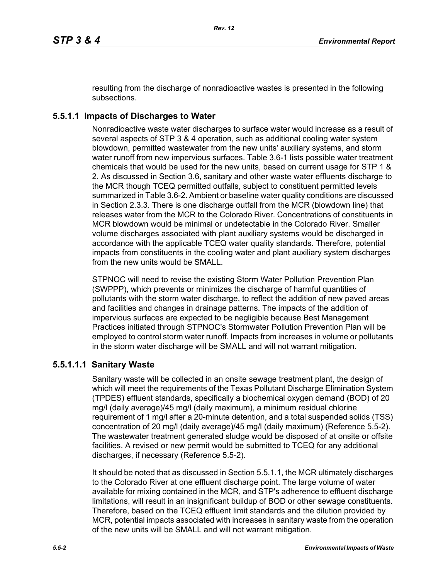resulting from the discharge of nonradioactive wastes is presented in the following subsections.

## **5.5.1.1 Impacts of Discharges to Water**

Nonradioactive waste water discharges to surface water would increase as a result of several aspects of STP 3 & 4 operation, such as additional cooling water system blowdown, permitted wastewater from the new units' auxiliary systems, and storm water runoff from new impervious surfaces. Table 3.6-1 lists possible water treatment chemicals that would be used for the new units, based on current usage for STP 1 & 2. As discussed in Section 3.6, sanitary and other waste water effluents discharge to the MCR though TCEQ permitted outfalls, subject to constituent permitted levels summarized in Table 3.6-2. Ambient or baseline water quality conditions are discussed in Section 2.3.3. There is one discharge outfall from the MCR (blowdown line) that releases water from the MCR to the Colorado River. Concentrations of constituents in MCR blowdown would be minimal or undetectable in the Colorado River. Smaller volume discharges associated with plant auxiliary systems would be discharged in accordance with the applicable TCEQ water quality standards. Therefore, potential impacts from constituents in the cooling water and plant auxiliary system discharges from the new units would be SMALL.

STPNOC will need to revise the existing Storm Water Pollution Prevention Plan (SWPPP), which prevents or minimizes the discharge of harmful quantities of pollutants with the storm water discharge, to reflect the addition of new paved areas and facilities and changes in drainage patterns. The impacts of the addition of impervious surfaces are expected to be negligible because Best Management Practices initiated through STPNOC's Stormwater Pollution Prevention Plan will be employed to control storm water runoff. Impacts from increases in volume or pollutants in the storm water discharge will be SMALL and will not warrant mitigation.

## **5.5.1.1.1 Sanitary Waste**

Sanitary waste will be collected in an onsite sewage treatment plant, the design of which will meet the requirements of the Texas Pollutant Discharge Elimination System (TPDES) effluent standards, specifically a biochemical oxygen demand (BOD) of 20 mg/l (daily average)/45 mg/l (daily maximum), a minimum residual chlorine requirement of 1 mg/l after a 20-minute detention, and a total suspended solids (TSS) concentration of 20 mg/l (daily average)/45 mg/l (daily maximum) (Reference 5.5-2). The wastewater treatment generated sludge would be disposed of at onsite or offsite facilities. A revised or new permit would be submitted to TCEQ for any additional discharges, if necessary (Reference 5.5-2).

It should be noted that as discussed in Section 5.5.1.1, the MCR ultimately discharges to the Colorado River at one effluent discharge point. The large volume of water available for mixing contained in the MCR, and STP's adherence to effluent discharge limitations, will result in an insignificant buildup of BOD or other sewage constituents. Therefore, based on the TCEQ effluent limit standards and the dilution provided by MCR, potential impacts associated with increases in sanitary waste from the operation of the new units will be SMALL and will not warrant mitigation.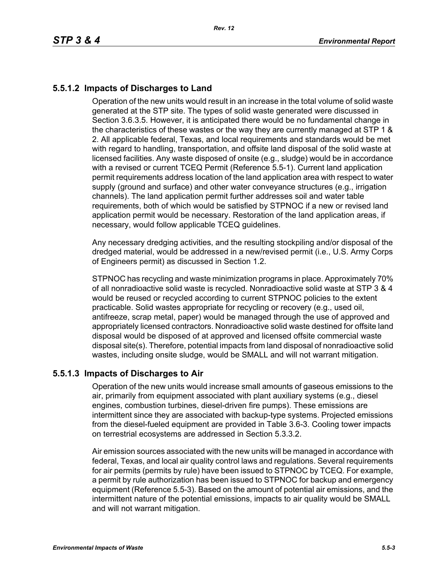# **5.5.1.2 Impacts of Discharges to Land**

Operation of the new units would result in an increase in the total volume of solid waste generated at the STP site. The types of solid waste generated were discussed in Section 3.6.3.5. However, it is anticipated there would be no fundamental change in the characteristics of these wastes or the way they are currently managed at STP 1 & 2. All applicable federal, Texas, and local requirements and standards would be met with regard to handling, transportation, and offsite land disposal of the solid waste at licensed facilities. Any waste disposed of onsite (e.g., sludge) would be in accordance with a revised or current TCEQ Permit (Reference 5.5-1). Current land application permit requirements address location of the land application area with respect to water supply (ground and surface) and other water conveyance structures (e.g., irrigation channels). The land application permit further addresses soil and water table requirements, both of which would be satisfied by STPNOC if a new or revised land application permit would be necessary. Restoration of the land application areas, if necessary, would follow applicable TCEQ guidelines.

Any necessary dredging activities, and the resulting stockpiling and/or disposal of the dredged material, would be addressed in a new/revised permit (i.e., U.S. Army Corps of Engineers permit) as discussed in Section 1.2.

STPNOC has recycling and waste minimization programs in place. Approximately 70% of all nonradioactive solid waste is recycled. Nonradioactive solid waste at STP 3 & 4 would be reused or recycled according to current STPNOC policies to the extent practicable. Solid wastes appropriate for recycling or recovery (e.g., used oil, antifreeze, scrap metal, paper) would be managed through the use of approved and appropriately licensed contractors. Nonradioactive solid waste destined for offsite land disposal would be disposed of at approved and licensed offsite commercial waste disposal site(s). Therefore, potential impacts from land disposal of nonradioactive solid wastes, including onsite sludge, would be SMALL and will not warrant mitigation.

## **5.5.1.3 Impacts of Discharges to Air**

Operation of the new units would increase small amounts of gaseous emissions to the air, primarily from equipment associated with plant auxiliary systems (e.g., diesel engines, combustion turbines, diesel-driven fire pumps). These emissions are intermittent since they are associated with backup-type systems. Projected emissions from the diesel-fueled equipment are provided in Table 3.6-3. Cooling tower impacts on terrestrial ecosystems are addressed in Section 5.3.3.2.

Air emission sources associated with the new units will be managed in accordance with federal, Texas, and local air quality control laws and regulations. Several requirements for air permits (permits by rule) have been issued to STPNOC by TCEQ. For example, a permit by rule authorization has been issued to STPNOC for backup and emergency equipment (Reference 5.5-3). Based on the amount of potential air emissions, and the intermittent nature of the potential emissions, impacts to air quality would be SMALL and will not warrant mitigation.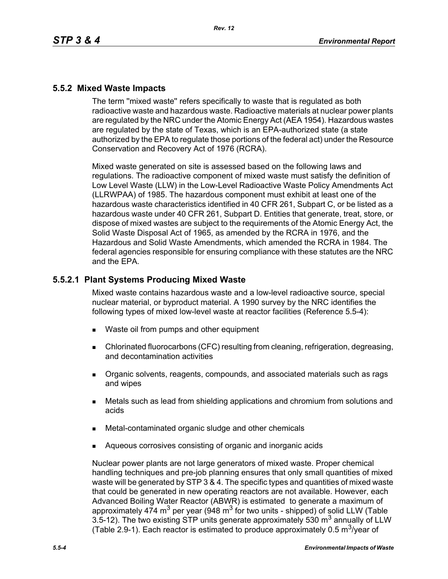### **5.5.2 Mixed Waste Impacts**

The term ''mixed waste'' refers specifically to waste that is regulated as both radioactive waste and hazardous waste. Radioactive materials at nuclear power plants are regulated by the NRC under the Atomic Energy Act (AEA 1954). Hazardous wastes are regulated by the state of Texas, which is an EPA-authorized state (a state authorized by the EPA to regulate those portions of the federal act) under the Resource Conservation and Recovery Act of 1976 (RCRA).

Mixed waste generated on site is assessed based on the following laws and regulations. The radioactive component of mixed waste must satisfy the definition of Low Level Waste (LLW) in the Low-Level Radioactive Waste Policy Amendments Act (LLRWPAA) of 1985. The hazardous component must exhibit at least one of the hazardous waste characteristics identified in 40 CFR 261, Subpart C, or be listed as a hazardous waste under 40 CFR 261, Subpart D. Entities that generate, treat, store, or dispose of mixed wastes are subject to the requirements of the Atomic Energy Act, the Solid Waste Disposal Act of 1965, as amended by the RCRA in 1976, and the Hazardous and Solid Waste Amendments, which amended the RCRA in 1984. The federal agencies responsible for ensuring compliance with these statutes are the NRC and the EPA.

#### **5.5.2.1 Plant Systems Producing Mixed Waste**

Mixed waste contains hazardous waste and a low-level radioactive source, special nuclear material, or byproduct material. A 1990 survey by the NRC identifies the following types of mixed low-level waste at reactor facilities (Reference 5.5-4):

- Waste oil from pumps and other equipment
- Chlorinated fluorocarbons (CFC) resulting from cleaning, refrigeration, degreasing, and decontamination activities
- **Dreamic solvents, reagents, compounds, and associated materials such as rags** and wipes
- Metals such as lead from shielding applications and chromium from solutions and acids
- Metal-contaminated organic sludge and other chemicals
- Aqueous corrosives consisting of organic and inorganic acids

Nuclear power plants are not large generators of mixed waste. Proper chemical handling techniques and pre-job planning ensures that only small quantities of mixed waste will be generated by STP 3 & 4. The specific types and quantities of mixed waste that could be generated in new operating reactors are not available. However, each Advanced Boiling Water Reactor (ABWR) is estimated to generate a maximum of approximately 474 m<sup>3</sup> per year (948 m<sup>3</sup> for two units - shipped) of solid LLW (Table 3.5-12). The two existing STP units generate approximately 530  $m<sup>3</sup>$  annually of LLW (Table 2.9-1). Each reactor is estimated to produce approximately 0.5  $\mathrm{m}^3$ /year of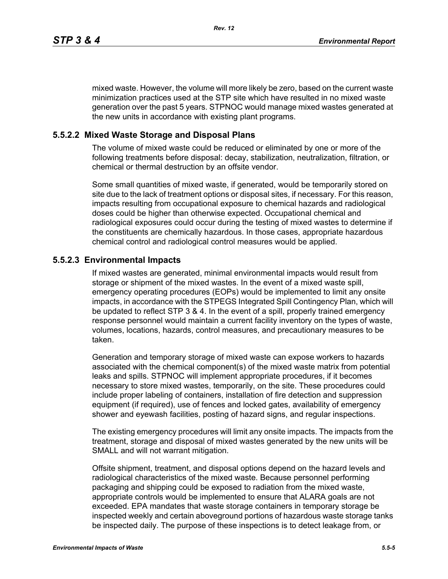mixed waste. However, the volume will more likely be zero, based on the current waste minimization practices used at the STP site which have resulted in no mixed waste generation over the past 5 years. STPNOC would manage mixed wastes generated at the new units in accordance with existing plant programs.

### **5.5.2.2 Mixed Waste Storage and Disposal Plans**

The volume of mixed waste could be reduced or eliminated by one or more of the following treatments before disposal: decay, stabilization, neutralization, filtration, or chemical or thermal destruction by an offsite vendor.

Some small quantities of mixed waste, if generated, would be temporarily stored on site due to the lack of treatment options or disposal sites, if necessary. For this reason, impacts resulting from occupational exposure to chemical hazards and radiological doses could be higher than otherwise expected. Occupational chemical and radiological exposures could occur during the testing of mixed wastes to determine if the constituents are chemically hazardous. In those cases, appropriate hazardous chemical control and radiological control measures would be applied.

#### **5.5.2.3 Environmental Impacts**

If mixed wastes are generated, minimal environmental impacts would result from storage or shipment of the mixed wastes. In the event of a mixed waste spill, emergency operating procedures (EOPs) would be implemented to limit any onsite impacts, in accordance with the STPEGS Integrated Spill Contingency Plan, which will be updated to reflect STP 3 & 4. In the event of a spill, properly trained emergency response personnel would maintain a current facility inventory on the types of waste, volumes, locations, hazards, control measures, and precautionary measures to be taken.

Generation and temporary storage of mixed waste can expose workers to hazards associated with the chemical component(s) of the mixed waste matrix from potential leaks and spills. STPNOC will implement appropriate procedures, if it becomes necessary to store mixed wastes, temporarily, on the site. These procedures could include proper labeling of containers, installation of fire detection and suppression equipment (if required), use of fences and locked gates, availability of emergency shower and eyewash facilities, posting of hazard signs, and regular inspections.

The existing emergency procedures will limit any onsite impacts. The impacts from the treatment, storage and disposal of mixed wastes generated by the new units will be SMALL and will not warrant mitigation.

Offsite shipment, treatment, and disposal options depend on the hazard levels and radiological characteristics of the mixed waste. Because personnel performing packaging and shipping could be exposed to radiation from the mixed waste, appropriate controls would be implemented to ensure that ALARA goals are not exceeded. EPA mandates that waste storage containers in temporary storage be inspected weekly and certain aboveground portions of hazardous waste storage tanks be inspected daily. The purpose of these inspections is to detect leakage from, or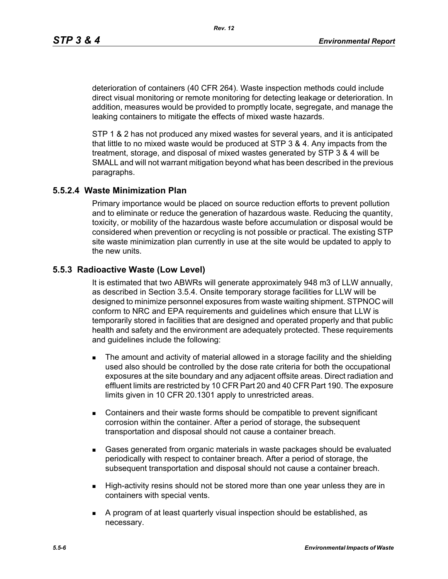deterioration of containers (40 CFR 264). Waste inspection methods could include direct visual monitoring or remote monitoring for detecting leakage or deterioration. In addition, measures would be provided to promptly locate, segregate, and manage the leaking containers to mitigate the effects of mixed waste hazards.

STP 1 & 2 has not produced any mixed wastes for several years, and it is anticipated that little to no mixed waste would be produced at STP 3 & 4. Any impacts from the treatment, storage, and disposal of mixed wastes generated by STP 3 & 4 will be SMALL and will not warrant mitigation beyond what has been described in the previous paragraphs.

### **5.5.2.4 Waste Minimization Plan**

Primary importance would be placed on source reduction efforts to prevent pollution and to eliminate or reduce the generation of hazardous waste. Reducing the quantity, toxicity, or mobility of the hazardous waste before accumulation or disposal would be considered when prevention or recycling is not possible or practical. The existing STP site waste minimization plan currently in use at the site would be updated to apply to the new units.

### **5.5.3 Radioactive Waste (Low Level)**

It is estimated that two ABWRs will generate approximately 948 m3 of LLW annually, as described in Section 3.5.4. Onsite temporary storage facilities for LLW will be designed to minimize personnel exposures from waste waiting shipment. STPNOC will conform to NRC and EPA requirements and guidelines which ensure that LLW is temporarily stored in facilities that are designed and operated properly and that public health and safety and the environment are adequately protected. These requirements and guidelines include the following:

- **The amount and activity of material allowed in a storage facility and the shielding** used also should be controlled by the dose rate criteria for both the occupational exposures at the site boundary and any adjacent offsite areas. Direct radiation and effluent limits are restricted by 10 CFR Part 20 and 40 CFR Part 190. The exposure limits given in 10 CFR 20.1301 apply to unrestricted areas.
- Containers and their waste forms should be compatible to prevent significant corrosion within the container. After a period of storage, the subsequent transportation and disposal should not cause a container breach.
- Gases generated from organic materials in waste packages should be evaluated periodically with respect to container breach. After a period of storage, the subsequent transportation and disposal should not cause a container breach.
- **High-activity resins should not be stored more than one year unless they are in** containers with special vents.
- A program of at least quarterly visual inspection should be established, as necessary.